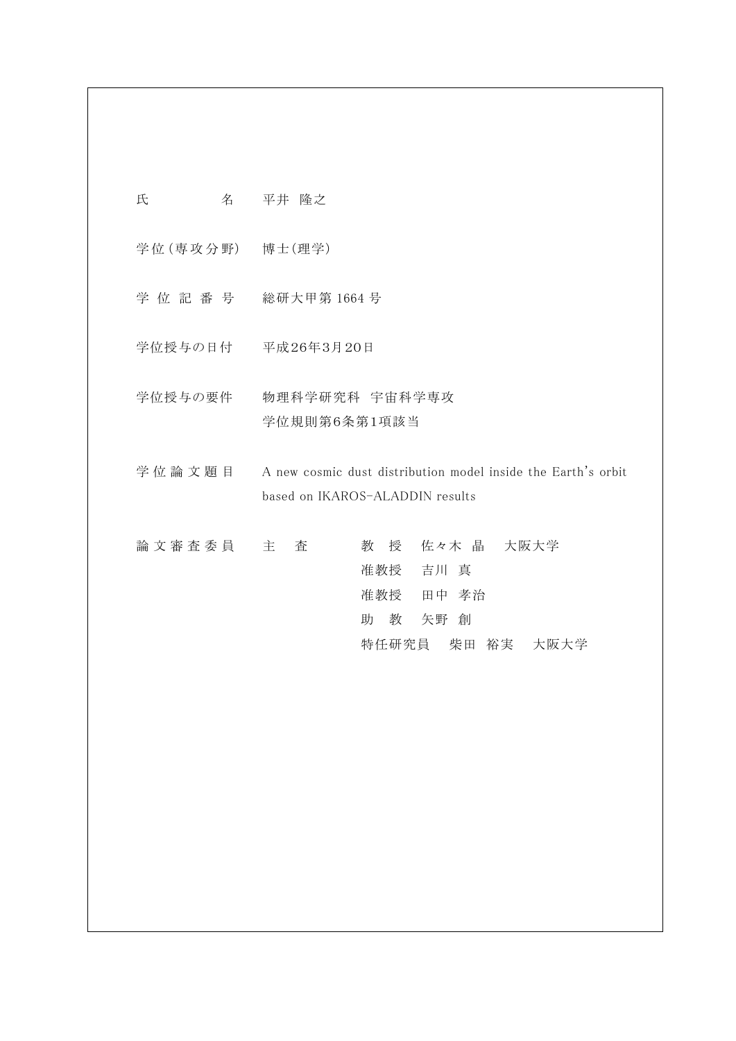| 氏 |   | 平井 隆之 |  |
|---|---|-------|--|
|   | 名 |       |  |

学位 (専攻分野) 博士 (理学)

- 学 位 記 番 号 総研大甲第 1664 号
- 学位授与の日付 平成26年3月20日
- 学位授与の要件 物理科学研究科 宇宙科学専攻 学位規則第6条第1項該当
- 学位論文題目 A new cosmic dust distribution model inside the Earth's orbit based on IKAROS-ALADDIN results
- 論 文 審 査 委 員 主 査 李 教 授 佐々木 晶 大阪大学 准教授 吉川 真 准教授 田中 孝治 助 教 矢野 創 特任研究員 柴田 裕実 大阪大学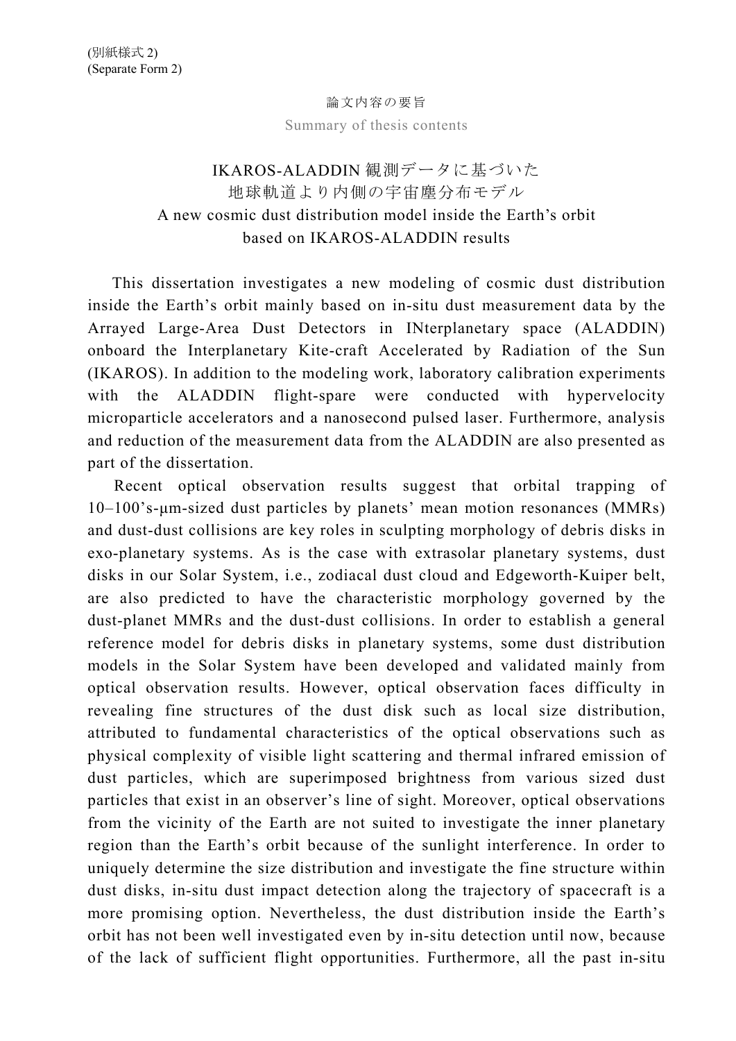### 論文内容の要旨

Summary of thesis contents

# IKAROS-ALADDIN 観測データに基づいた 地球軌道より内側の宇宙塵分布モデル A new cosmic dust distribution model inside the Earth's orbit based on IKAROS-ALADDIN results

This dissertation investigates a new modeling of cosmic dust distribution inside the Earth's orbit mainly based on in-situ dust measurement data by the Arrayed Large-Area Dust Detectors in INterplanetary space (ALADDIN) onboard the Interplanetary Kite-craft Accelerated by Radiation of the Sun (IKAROS). In addition to the modeling work, laboratory calibration experiments with the ALADDIN flight-spare were conducted with hypervelocity microparticle accelerators and a nanosecond pulsed laser. Furthermore, analysis and reduction of the measurement data from the ALADDIN are also presented as part of the dissertation.

Recent optical observation results suggest that orbital trapping of 10–100's-μm-sized dust particles by planets' mean motion resonances (MMRs) and dust-dust collisions are key roles in sculpting morphology of debris disks in exo-planetary systems. As is the case with extrasolar planetary systems, dust disks in our Solar System, i.e., zodiacal dust cloud and Edgeworth-Kuiper belt, are also predicted to have the characteristic morphology governed by the dust-planet MMRs and the dust-dust collisions. In order to establish a general reference model for debris disks in planetary systems, some dust distribution models in the Solar System have been developed and validated mainly from optical observation results. However, optical observation faces difficulty in revealing fine structures of the dust disk such as local size distribution, attributed to fundamental characteristics of the optical observations such as physical complexity of visible light scattering and thermal infrared emission of dust particles, which are superimposed brightness from various sized dust particles that exist in an observer's line of sight. Moreover, optical observations from the vicinity of the Earth are not suited to investigate the inner planetary region than the Earth's orbit because of the sunlight interference. In order to uniquely determine the size distribution and investigate the fine structure within dust disks, in-situ dust impact detection along the trajectory of spacecraft is a more promising option. Nevertheless, the dust distribution inside the Earth's orbit has not been well investigated even by in-situ detection until now, because of the lack of sufficient flight opportunities. Furthermore, all the past in-situ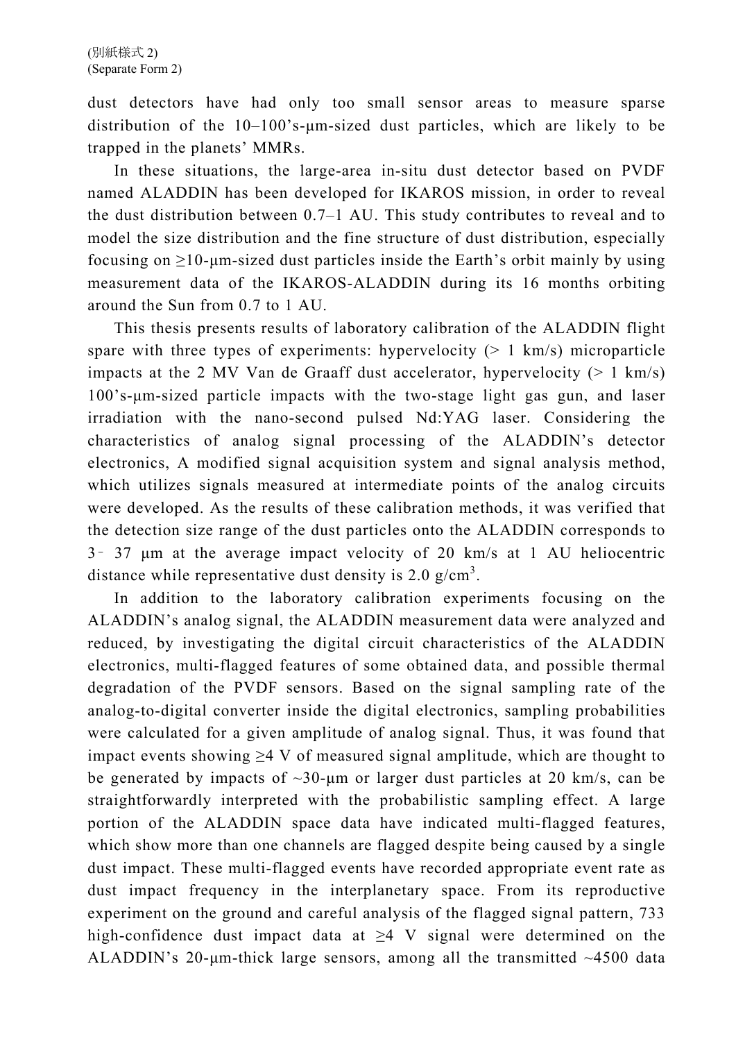dust detectors have had only too small sensor areas to measure sparse distribution of the 10–100's-μm-sized dust particles, which are likely to be trapped in the planets' MMRs.

In these situations, the large-area in-situ dust detector based on PVDF named ALADDIN has been developed for IKAROS mission, in order to reveal the dust distribution between 0.7–1 AU. This study contributes to reveal and to model the size distribution and the fine structure of dust distribution, especially focusing on  $\geq$ 10-µm-sized dust particles inside the Earth's orbit mainly by using measurement data of the IKAROS-ALADDIN during its 16 months orbiting around the Sun from 0.7 to 1 AU.

This thesis presents results of laboratory calibration of the ALADDIN flight spare with three types of experiments: hypervelocity  $(> 1 \text{ km/s})$  microparticle impacts at the 2 MV Van de Graaff dust accelerator, hypervelocity  $(> 1 \text{ km/s})$ 100's-μm-sized particle impacts with the two-stage light gas gun, and laser irradiation with the nano-second pulsed Nd:YAG laser. Considering the characteristics of analog signal processing of the ALADDIN's detector electronics, A modified signal acquisition system and signal analysis method, which utilizes signals measured at intermediate points of the analog circuits were developed. As the results of these calibration methods, it was verified that the detection size range of the dust particles onto the ALADDIN corresponds to 3– 37 μm at the average impact velocity of 20 km/s at 1 AU heliocentric distance while representative dust density is 2.0  $g/cm<sup>3</sup>$ .

In addition to the laboratory calibration experiments focusing on the ALADDIN's analog signal, the ALADDIN measurement data were analyzed and reduced, by investigating the digital circuit characteristics of the ALADDIN electronics, multi-flagged features of some obtained data, and possible thermal degradation of the PVDF sensors. Based on the signal sampling rate of the analog-to-digital converter inside the digital electronics, sampling probabilities were calculated for a given amplitude of analog signal. Thus, it was found that impact events showing  $\geq 4$  V of measured signal amplitude, which are thought to be generated by impacts of  $\sim 30$ -um or larger dust particles at 20 km/s, can be straightforwardly interpreted with the probabilistic sampling effect. A large portion of the ALADDIN space data have indicated multi-flagged features, which show more than one channels are flagged despite being caused by a single dust impact. These multi-flagged events have recorded appropriate event rate as dust impact frequency in the interplanetary space. From its reproductive experiment on the ground and careful analysis of the flagged signal pattern, 733 high-confidence dust impact data at  $\geq 4$  V signal were determined on the ALADDIN's  $20$ -µm-thick large sensors, among all the transmitted  $\sim$ 4500 data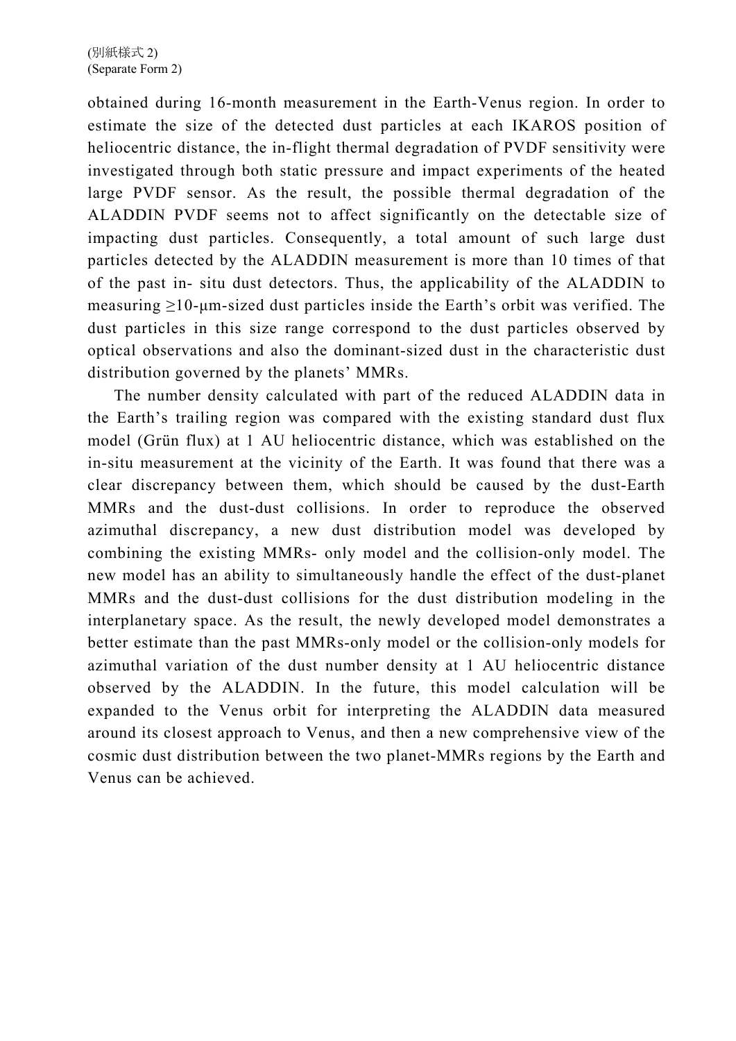obtained during 16-month measurement in the Earth-Venus region. In order to estimate the size of the detected dust particles at each IKAROS position of heliocentric distance, the in-flight thermal degradation of PVDF sensitivity were investigated through both static pressure and impact experiments of the heated large PVDF sensor. As the result, the possible thermal degradation of the ALADDIN PVDF seems not to affect significantly on the detectable size of impacting dust particles. Consequently, a total amount of such large dust particles detected by the ALADDIN measurement is more than 10 times of that of the past in- situ dust detectors. Thus, the applicability of the ALADDIN to measuring  $\geq 10$ -μm-sized dust particles inside the Earth's orbit was verified. The dust particles in this size range correspond to the dust particles observed by optical observations and also the dominant-sized dust in the characteristic dust distribution governed by the planets' MMRs.

The number density calculated with part of the reduced ALADDIN data in the Earth's trailing region was compared with the existing standard dust flux model (Grün flux) at 1 AU heliocentric distance, which was established on the in-situ measurement at the vicinity of the Earth. It was found that there was a clear discrepancy between them, which should be caused by the dust-Earth MMRs and the dust-dust collisions. In order to reproduce the observed azimuthal discrepancy, a new dust distribution model was developed by combining the existing MMRs- only model and the collision-only model. The new model has an ability to simultaneously handle the effect of the dust-planet MMRs and the dust-dust collisions for the dust distribution modeling in the interplanetary space. As the result, the newly developed model demonstrates a better estimate than the past MMRs-only model or the collision-only models for azimuthal variation of the dust number density at 1 AU heliocentric distance observed by the ALADDIN. In the future, this model calculation will be expanded to the Venus orbit for interpreting the ALADDIN data measured around its closest approach to Venus, and then a new comprehensive view of the cosmic dust distribution between the two planet-MMRs regions by the Earth and Venus can be achieved.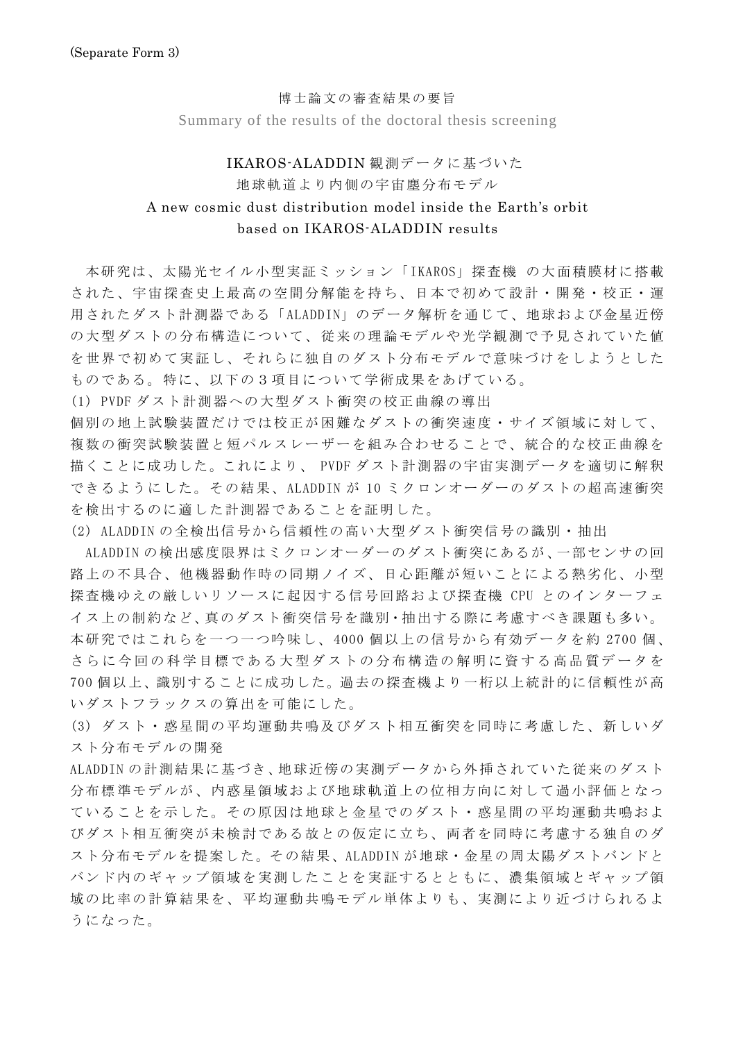#### 博士論文の審査結果の要旨

Summary of the results of the doctoral thesis screening

#### IKAROS-ALADDIN 観測データに基づいた

## 地球軌道より内側の宇宙塵分布モデル A new cosmic dust distribution model inside the Earth's orbit based on IKAROS-ALADDIN results

 本研究は、太陽光セイル小型実証ミッション「IKAROS」探査機 の大面積膜材に搭載 された、宇宙探査史上最高の空間分解能を持ち、日本で初めて設計・開発・校正・運 用されたダスト計測器である「ALADDIN」のデータ解析を通じて、地球および金星近傍 の大型ダストの分布構造について、従来の理論モデルや光学観測で予見されていた値 を世界で初めて実証し、それらに独自のダスト分布モデルで意味づけをしようとした ものである。特に、以下の3項目について学術成果をあげている。

(1) PVDF ダスト計測器への大型ダスト衝突の校正曲線の導出

個別の地上試験装置だけでは校正が困難なダストの衝突速度・サイズ領域に対して、 複数の衝突試験装置と短パルスレーザーを組み合わせることで、統合的な校正曲線を 描くことに成功した。これにより、 PVDF ダスト計測器の宇宙実測データを適切に解釈 できるようにした。その結果、ALADDIN が 10 ミクロンオーダーのダストの超高速衝突 を検出するのに適した計測器であることを証明した。

(2) ALADDIN の全検出信号から信頼性の高い大型ダスト衝突信号の識別・抽出

 ALADDIN の検出感度限界はミクロンオーダーのダスト衝突にあるが、一部センサの回 路上の不具合、他機器動作時の同期ノイズ、日心距離が短いことによる熱劣化、小型 探査機ゆえの厳しいリソースに起因する信号回路および探査機 CPU とのインターフェ イス上の制約など、真のダスト衝突信号を識別・抽出する際に考慮すべき課題も多い。 本研究ではこれらを一つ一つ吟味し、4000 個以上の信号から有効データを約 2700 個、 さらに今回の科学目標である大型ダストの分布構造の解明に資する高品質データを 700 個以上、識別することに成功した。過去の探査機より一桁以上統計的に信頼性が高 いダストフラックスの算出を可能にした。

(3) ダスト・惑星間の平均運動共鳴及びダスト相互衝突を同時に考慮した、新しいダ スト分布モデルの開発

ALADDIN の計測結果に基づき、地球近傍の実測データから外挿されていた従来のダスト 分布標準モデルが、内惑星領域および地球軌道上の位相方向に対して過小評価となっ ていることを示した。その原因は地球と金星でのダスト・惑星間の平均運動共鳴およ びダスト相互衝突が未検討である故との仮定に立ち、両者を同時に考慮する独自のダ スト分布モデルを提案した。その結果、ALADDIN が地球・金星の周太陽ダストバンドと バンド内のギャップ領域を実測したことを実証するとともに、濃集領域とギャップ領 域の比率の計算結果を、平均運動共鳴モデル単体よりも、実測により近づけられるよ うになった。